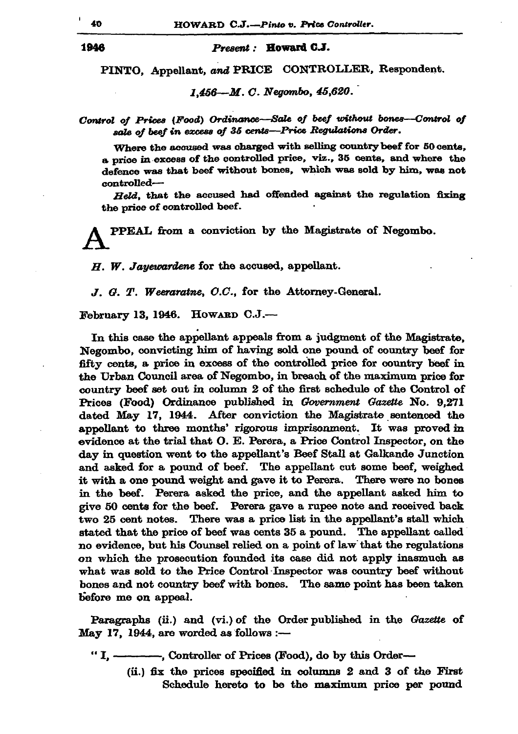## Present: Howard C.J.

PINTO, Appellant, and PRICE CONTROLLER, Respondent.

 $1,456 - M. C. Negombo, 45.620.$ 

Control of Prices (Food) Ordinance-Sale of beef without bones--Control of sale of beef in excess of 35 cents-Price Regulations Order.

Where the accused was charged with selling country beef for 50 cents. a price in excess of the controlled price, viz., 35 cents, and where the defence was that beef without bones, which was sold by him, was not controlled-

Held, that the accused had offended against the regulation fixing the price of controlled beef.

PPEAL from a conviction by the Magistrate of Negombo.

 $H.$  W. Jayewardene for the accused, appellant.

J. G. T. Weeraratne, O.C., for the Attorney-General.

February 13, 1946. HOWARD C.J.-

In this case the appellant appeals from a judgment of the Magistrate. Negombo, convicting him of having sold one pound of country beef for fifty cents, a price in excess of the controlled price for country beef in the Urban Council area of Negombo, in breach of the maximum price for country beef set out in column 2 of the first schedule of the Control of Prices (Food) Ordinance published in Government Gazette No. 9,271 dated May 17, 1944. After conviction the Magistrate sentenced the appellant to three months' rigorous imprisonment. It was proved in evidence at the trial that O. E. Perera, a Price Control Inspector, on the day in question went to the appellant's Beef Stall at Galkande Junction and asked for a pound of beef. The appellant cut some beef, weighed it with a one pound weight and gave it to Perera. There were no bones in the beef. Perera asked the price, and the appellant asked him to give 50 cents for the beef. Perera gave a rupee note and received back two 25 cent notes. There was a price list in the appellant's stall which stated that the price of beef was cents 35 a pound. The appellant called no evidence, but his Counsel relied on a point of law that the regulations on which the prosecution founded its case did not apply inasmuch as what was sold to the Price Control Inspector was country beef without bones and not country beef with bones. The same point has been taken before me on appeal.

Paragraphs (ii.) and (vi.) of the Order published in the Gazette of May 17, 1944, are worded as follows :-

"I, ---------, Controller of Prices (Food), do by this Order--

(ii.) fix the prices specified in columns 2 and 3 of the First Schedule hereto to be the maximum price per pound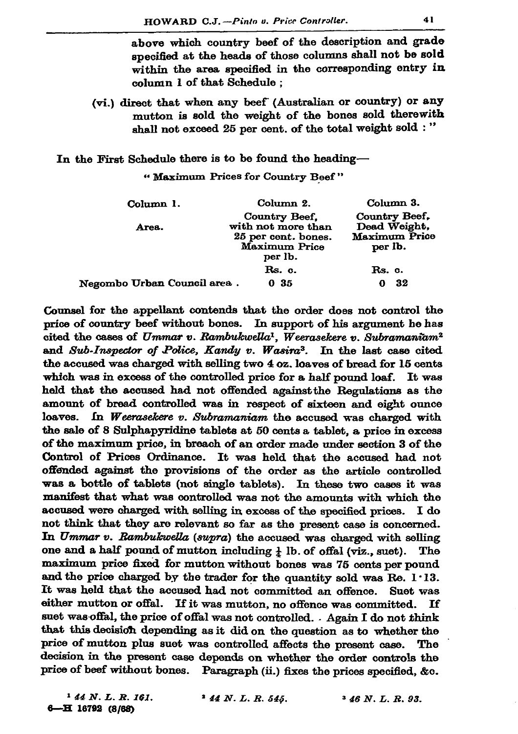above which country beef of the description and grade specified at the heads of those columns shall not be sold within the area specified in the corresponding entry in column 1 of that Schedule:

(vi.) direct that when any beef (Australian or country) or any mutton is sold the weight of the bones sold therewith shall not exceed 25 per cent. of the total weight sold : "

In the First Schedule there is to be found the heading-

"Maximum Prices for Country Beef"

| Column 1.                   | Column 2.                                                                              | Column 3.                                                 |
|-----------------------------|----------------------------------------------------------------------------------------|-----------------------------------------------------------|
| Area.                       | Country Beef.<br>with not more than<br>25 per cent. bones.<br>Maximum Price<br>per lb. | Country Beef,<br>Dead Weight.<br>Maximum Price<br>per lb. |
|                             | Rs. c.                                                                                 | Rs. c.                                                    |
| Negombo Urban Council area. | 0 35                                                                                   | 32                                                        |

Counsel for the appellant contends that the order does not control the price of country beef without bones. In support of his argument he has cited the cases of Ummar v. Rambukwella<sup>1</sup>, Weerasekere v. Subramaniam<sup>2</sup> and Sub-Inspector of Police, Kandy v. Wasira<sup>3</sup>. In the last case cited the accused was charged with selling two 4 oz. loaves of bread for 15 cents which was in excess of the controlled price for a half pound loaf. It was held that the accused had not offended against the Regulations as the amount of bread controlled was in respect of sixteen and eight ounce loaves. In Weerasekere v. Subramaniam the accused was charged with the sale of 8 Sulphapyridine tablets at 50 cents a tablet, a price in excess of the maximum price, in breach of an order made under section 3 of the Control of Prices Ordinance. It was held that the accused had not offended against the provisions of the order as the article controlled was a bottle of tablets (not single tablets). In these two cases it was manifest that what was controlled was not the amounts with which the accused were charged with selling in excess of the specified prices. I do not think that they are relevant so far as the present case is concerned. In Ummar v. Rambukwella (supra) the accused was charged with selling one and a half pound of mutton including  $\frac{1}{k}$  lb. of offal (viz., suet). The maximum price fixed for mutton without bones was 75 cents per pound and the price charged by the trader for the quantity sold was Re. 1.13. It was held that the accused had not committed an offence. Suet was either mutton or offal. If it was mutton, no offence was committed. Tf. suet was offal, the price of offal was not controlled. Again I do not think that this decision depending as it did on the question as to whether the price of mutton plus suet was controlled affects the present case. The decision in the present case depends on whether the order controls the price of beef without bones. Paragraph (ii.) fixes the prices specified, &c.

 $144 N. L. R. 161.$ 6-H 16792 (8/68)

 $144 N. L. R. 545.$ 

 $346 N. L. R. 93.$